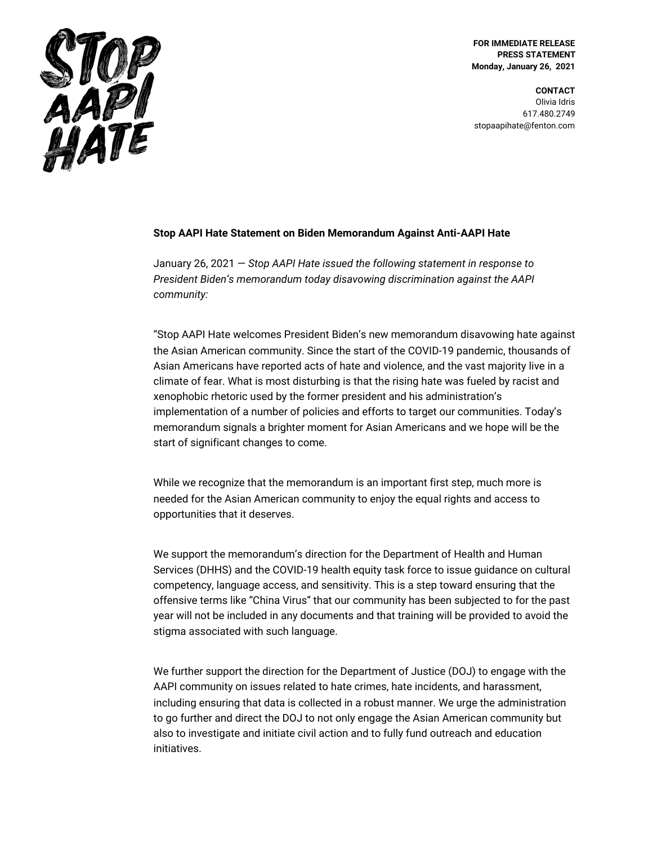

**FOR IMMEDIATE RELEASE PRESS STATEMENT Monday, January 26, 2021**

**CONTACT** Olivia Idris 617.480.2749 stopaapihate@fenton.com

## **Stop AAPI Hate Statement on Biden Memorandum Against Anti-AAPI Hate**

January 26, 2021 — *Stop AAPI Hate issued the following statement in response to President Biden's memorandum today disavowing discrimination against the AAPI community:*

"Stop AAPI Hate welcomes President Biden's new memorandum disavowing hate against the Asian American community. Since the start of the COVID-19 pandemic, thousands of Asian Americans have reported acts of hate and violence, and the vast majority live in a climate of fear. What is most disturbing is that the rising hate was fueled by racist and xenophobic rhetoric used by the former president and his administration's implementation of a number of policies and efforts to target our communities. Today's memorandum signals a brighter moment for Asian Americans and we hope will be the start of significant changes to come.

While we recognize that the memorandum is an important first step, much more is needed for the Asian American community to enjoy the equal rights and access to opportunities that it deserves.

We support the memorandum's direction for the Department of Health and Human Services (DHHS) and the COVID-19 health equity task force to issue guidance on cultural competency, language access, and sensitivity. This is a step toward ensuring that the offensive terms like "China Virus" that our community has been subjected to for the past year will not be included in any documents and that training will be provided to avoid the stigma associated with such language.

We further support the direction for the Department of Justice (DOJ) to engage with the AAPI community on issues related to hate crimes, hate incidents, and harassment, including ensuring that data is collected in a robust manner. We urge the administration to go further and direct the DOJ to not only engage the Asian American community but also to investigate and initiate civil action and to fully fund outreach and education initiatives.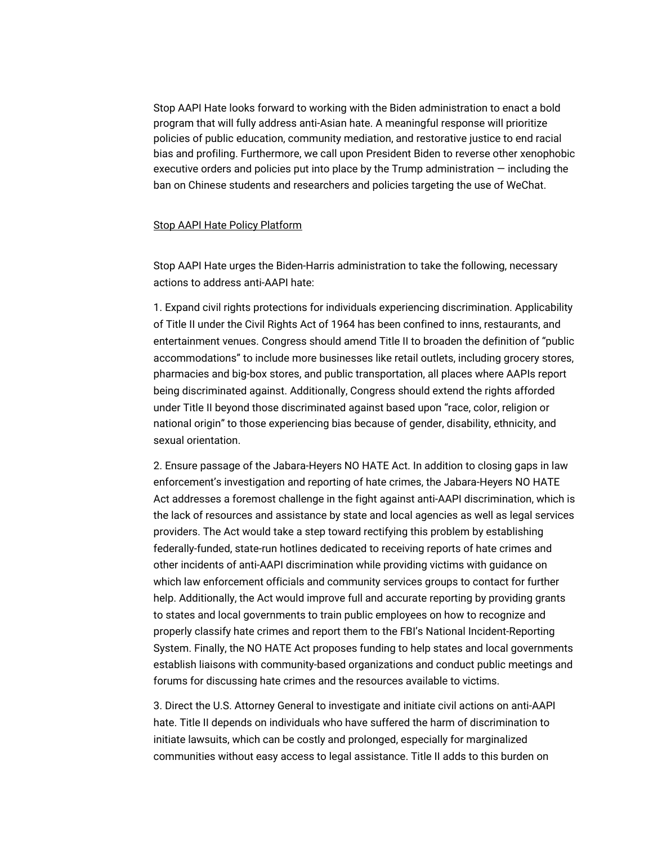Stop AAPI Hate looks forward to working with the Biden administration to enact a bold program that will fully address anti-Asian hate. A meaningful response will prioritize policies of public education, community mediation, and restorative justice to end racial bias and profiling. Furthermore, we call upon President Biden to reverse other xenophobic executive orders and policies put into place by the Trump administration — including the ban on Chinese students and researchers and policies targeting the use of WeChat.

## Stop AAPI Hate Policy Platform

Stop AAPI Hate urges the Biden-Harris administration to take the following, necessary actions to address anti-AAPI hate:

1. Expand civil rights protections for individuals experiencing discrimination. Applicability of Title II under the Civil Rights Act of 1964 has been confined to inns, restaurants, and entertainment venues. Congress should amend Title II to broaden the definition of "public accommodations" to include more businesses like retail outlets, including grocery stores, pharmacies and big-box stores, and public transportation, all places where AAPIs report being discriminated against. Additionally, Congress should extend the rights afforded under Title II beyond those discriminated against based upon "race, color, religion or national origin" to those experiencing bias because of gender, disability, ethnicity, and sexual orientation.

2. Ensure passage of the Jabara-Heyers NO HATE Act. In addition to closing gaps in law enforcement's investigation and reporting of hate crimes, the Jabara-Heyers NO HATE Act addresses a foremost challenge in the fight against anti-AAPI discrimination, which is the lack of resources and assistance by state and local agencies as well as legal services providers. The Act would take a step toward rectifying this problem by establishing federally-funded, state-run hotlines dedicated to receiving reports of hate crimes and other incidents of anti-AAPI discrimination while providing victims with guidance on which law enforcement officials and community services groups to contact for further help. Additionally, the Act would improve full and accurate reporting by providing grants to states and local governments to train public employees on how to recognize and properly classify hate crimes and report them to the FBI's National Incident-Reporting System. Finally, the NO HATE Act proposes funding to help states and local governments establish liaisons with community-based organizations and conduct public meetings and forums for discussing hate crimes and the resources available to victims.

3. Direct the U.S. Attorney General to investigate and initiate civil actions on anti-AAPI hate. Title II depends on individuals who have suffered the harm of discrimination to initiate lawsuits, which can be costly and prolonged, especially for marginalized communities without easy access to legal assistance. Title II adds to this burden on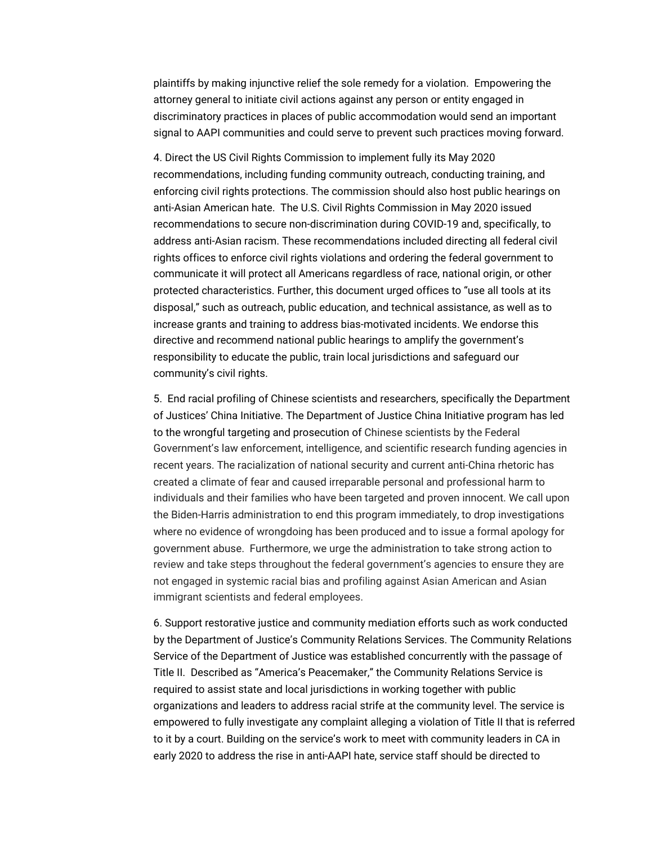plaintiffs by making injunctive relief the sole remedy for a violation. Empowering the attorney general to initiate civil actions against any person or entity engaged in discriminatory practices in places of public accommodation would send an important signal to AAPI communities and could serve to prevent such practices moving forward.

4. Direct the US Civil Rights Commission to implement fully its May 2020 recommendations, including funding community outreach, conducting training, and enforcing civil rights protections. The commission should also host public hearings on anti-Asian American hate. The U.S. Civil Rights Commission in May 2020 issued recommendations to secure non-discrimination during COVID-19 and, specifically, to address anti-Asian racism. These recommendations included directing all federal civil rights offices to enforce civil rights violations and ordering the federal government to communicate it will protect all Americans regardless of race, national origin, or other protected characteristics. Further, this document urged offices to "use all tools at its disposal," such as outreach, public education, and technical assistance, as well as to increase grants and training to address bias-motivated incidents. We endorse this directive and recommend national public hearings to amplify the government's responsibility to educate the public, train local jurisdictions and safeguard our community's civil rights.

5. End racial profiling of Chinese scientists and researchers, specifically the Department of Justices' China Initiative. The Department of Justice China Initiative program has led to the wrongful targeting and prosecution of Chinese scientists by the Federal Government's law enforcement, intelligence, and scientific research funding agencies in recent years. The racialization of national security and current anti-China rhetoric has created a climate of fear and caused irreparable personal and professional harm to individuals and their families who have been targeted and proven innocent. We call upon the Biden-Harris administration to end this program immediately, to drop investigations where no evidence of wrongdoing has been produced and to issue a formal apology for government abuse. Furthermore, we urge the administration to take strong action to review and take steps throughout the federal government's agencies to ensure they are not engaged in systemic racial bias and profiling against Asian American and Asian immigrant scientists and federal employees.

6. Support restorative justice and community mediation efforts such as work conducted by the Department of Justice's Community Relations Services. The Community Relations Service of the Department of Justice was established concurrently with the passage of Title II. Described as "America's Peacemaker," the Community Relations Service is required to assist state and local jurisdictions in working together with public organizations and leaders to address racial strife at the community level. The service is empowered to fully investigate any complaint alleging a violation of Title II that is referred to it by a court. Building on the service's work to meet with community leaders in CA in early 2020 to address the rise in anti-AAPI hate, service staff should be directed to